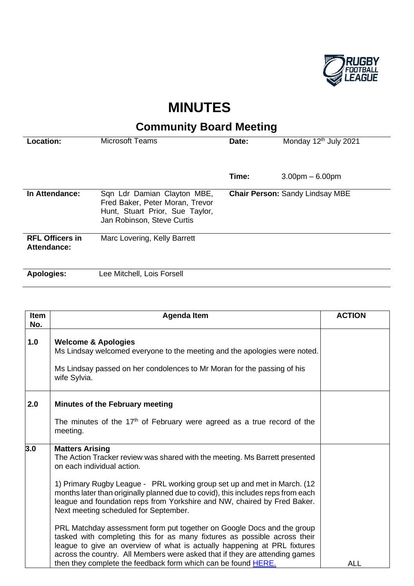

## **MINUTES**

## **Community Board Meeting**

| Location:                             | <b>Microsoft Teams</b>                                                                                                          | Date:                                  | Monday 12 <sup>th</sup> July 2021 |
|---------------------------------------|---------------------------------------------------------------------------------------------------------------------------------|----------------------------------------|-----------------------------------|
|                                       |                                                                                                                                 |                                        |                                   |
|                                       |                                                                                                                                 | Time:                                  | $3.00pm - 6.00pm$                 |
| In Attendance:                        | Sqn Ldr Damian Clayton MBE,<br>Fred Baker, Peter Moran, Trevor<br>Hunt, Stuart Prior, Sue Taylor,<br>Jan Robinson, Steve Curtis | <b>Chair Person: Sandy Lindsay MBE</b> |                                   |
| <b>RFL Officers in</b><br>Attendance: | Marc Lovering, Kelly Barrett                                                                                                    |                                        |                                   |
| <b>Apologies:</b>                     | Lee Mitchell, Lois Forsell                                                                                                      |                                        |                                   |

| <b>Item</b><br>No. | <b>Agenda Item</b>                                                                                                                                                                                                                                                                                                                                                                                                                                                                                                                                                                                                                                                                                                                          | <b>ACTION</b> |
|--------------------|---------------------------------------------------------------------------------------------------------------------------------------------------------------------------------------------------------------------------------------------------------------------------------------------------------------------------------------------------------------------------------------------------------------------------------------------------------------------------------------------------------------------------------------------------------------------------------------------------------------------------------------------------------------------------------------------------------------------------------------------|---------------|
| 1.0                | <b>Welcome &amp; Apologies</b><br>Ms Lindsay welcomed everyone to the meeting and the apologies were noted.<br>Ms Lindsay passed on her condolences to Mr Moran for the passing of his<br>wife Sylvia.                                                                                                                                                                                                                                                                                                                                                                                                                                                                                                                                      |               |
| 2.0                | <b>Minutes of the February meeting</b><br>The minutes of the 17 <sup>th</sup> of February were agreed as a true record of the<br>meeting.                                                                                                                                                                                                                                                                                                                                                                                                                                                                                                                                                                                                   |               |
| 3.0                | <b>Matters Arising</b><br>The Action Tracker review was shared with the meeting. Ms Barrett presented<br>on each individual action.<br>1) Primary Rugby League - PRL working group set up and met in March. (12)<br>months later than originally planned due to covid), this includes reps from each<br>league and foundation reps from Yorkshire and NW, chaired by Fred Baker.<br>Next meeting scheduled for September.<br>PRL Matchday assessment form put together on Google Docs and the group<br>tasked with completing this for as many fixtures as possible across their<br>league to give an overview of what is actually happening at PRL fixtures<br>across the country. All Members were asked that if they are attending games |               |
|                    | then they complete the feedback form which can be found <b>HERE</b> .                                                                                                                                                                                                                                                                                                                                                                                                                                                                                                                                                                                                                                                                       | <b>ALL</b>    |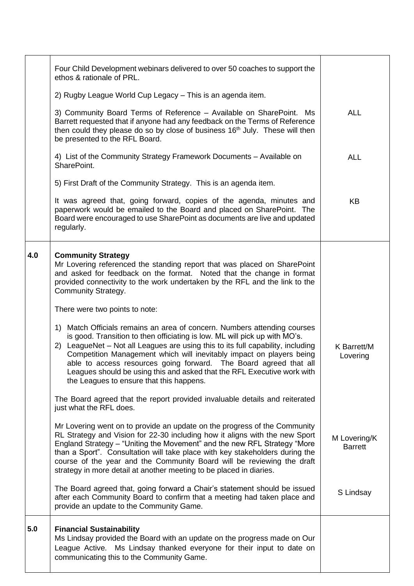|     | Four Child Development webinars delivered to over 50 coaches to support the<br>ethos & rationale of PRL.                                                                                                                                                                                                                                                                                                                                                                                                         |                                |
|-----|------------------------------------------------------------------------------------------------------------------------------------------------------------------------------------------------------------------------------------------------------------------------------------------------------------------------------------------------------------------------------------------------------------------------------------------------------------------------------------------------------------------|--------------------------------|
|     | 2) Rugby League World Cup Legacy - This is an agenda item.                                                                                                                                                                                                                                                                                                                                                                                                                                                       |                                |
|     | 3) Community Board Terms of Reference - Available on SharePoint. Ms<br>Barrett requested that if anyone had any feedback on the Terms of Reference<br>then could they please do so by close of business 16 <sup>th</sup> July. These will then<br>be presented to the RFL Board.                                                                                                                                                                                                                                 | <b>ALL</b>                     |
|     | 4) List of the Community Strategy Framework Documents - Available on<br>SharePoint.                                                                                                                                                                                                                                                                                                                                                                                                                              | <b>ALL</b>                     |
|     | 5) First Draft of the Community Strategy. This is an agenda item.                                                                                                                                                                                                                                                                                                                                                                                                                                                |                                |
|     | It was agreed that, going forward, copies of the agenda, minutes and<br>paperwork would be emailed to the Board and placed on SharePoint. The<br>Board were encouraged to use SharePoint as documents are live and updated<br>regularly.                                                                                                                                                                                                                                                                         | KB                             |
| 4.0 | <b>Community Strategy</b><br>Mr Lovering referenced the standing report that was placed on SharePoint<br>and asked for feedback on the format. Noted that the change in format<br>provided connectivity to the work undertaken by the RFL and the link to the<br>Community Strategy.                                                                                                                                                                                                                             |                                |
|     | There were two points to note:                                                                                                                                                                                                                                                                                                                                                                                                                                                                                   |                                |
|     | Match Officials remains an area of concern. Numbers attending courses<br>1)<br>is good. Transition to then officiating is low. ML will pick up with MO's.<br>2) LeagueNet – Not all Leagues are using this to its full capability, including<br>Competition Management which will inevitably impact on players being<br>able to access resources going forward. The Board agreed that all<br>Leagues should be using this and asked that the RFL Executive work with<br>the Leagues to ensure that this happens. | K Barrett/M<br>Lovering        |
|     | The Board agreed that the report provided invaluable details and reiterated<br>just what the RFL does.                                                                                                                                                                                                                                                                                                                                                                                                           |                                |
|     | Mr Lovering went on to provide an update on the progress of the Community<br>RL Strategy and Vision for 22-30 including how it aligns with the new Sport<br>England Strategy - "Uniting the Movement" and the new RFL Strategy "More<br>than a Sport". Consultation will take place with key stakeholders during the<br>course of the year and the Community Board will be reviewing the draft<br>strategy in more detail at another meeting to be placed in diaries.                                            | M Lovering/K<br><b>Barrett</b> |
|     | The Board agreed that, going forward a Chair's statement should be issued<br>after each Community Board to confirm that a meeting had taken place and<br>provide an update to the Community Game.                                                                                                                                                                                                                                                                                                                | S Lindsay                      |
| 5.0 | <b>Financial Sustainability</b><br>Ms Lindsay provided the Board with an update on the progress made on Our<br>Ms Lindsay thanked everyone for their input to date on<br>League Active.<br>communicating this to the Community Game.                                                                                                                                                                                                                                                                             |                                |